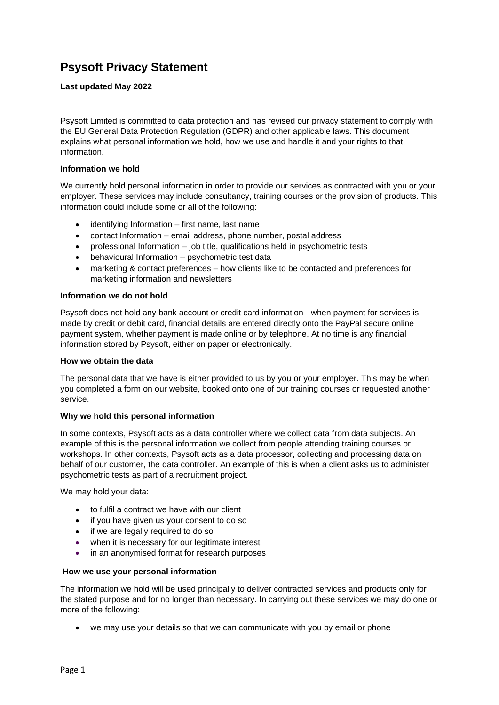# **Psysoft Privacy Statement**

## **Last updated May 2022**

Psysoft Limited is committed to data protection and has revised our privacy statement to comply with the EU General Data Protection Regulation (GDPR) and other applicable laws. This document explains what personal information we hold, how we use and handle it and your rights to that information.

### **Information we hold**

We currently hold personal information in order to provide our services as contracted with you or your employer. These services may include consultancy, training courses or the provision of products. This information could include some or all of the following:

- identifying Information first name, last name
- contact Information email address, phone number, postal address
- professional Information job title, qualifications held in psychometric tests
- behavioural Information psychometric test data
- marketing & contact preferences how clients like to be contacted and preferences for marketing information and newsletters

#### **Information we do not hold**

Psysoft does not hold any bank account or credit card information - when payment for services is made by credit or debit card, financial details are entered directly onto the PayPal secure online payment system, whether payment is made online or by telephone. At no time is any financial information stored by Psysoft, either on paper or electronically.

#### **How we obtain the data**

The personal data that we have is either provided to us by you or your employer. This may be when you completed a form on our website, booked onto one of our training courses or requested another service.

#### **Why we hold this personal information**

In some contexts, Psysoft acts as a data controller where we collect data from data subjects. An example of this is the personal information we collect from people attending training courses or workshops. In other contexts, Psysoft acts as a data processor, collecting and processing data on behalf of our customer, the data controller. An example of this is when a client asks us to administer psychometric tests as part of a recruitment project.

We may hold your data:

- to fulfil a contract we have with our client
- if you have given us your consent to do so
- if we are legally required to do so
- when it is necessary for our legitimate interest
- in an anonymised format for research purposes

#### **How we use your personal information**

The information we hold will be used principally to deliver contracted services and products only for the stated purpose and for no longer than necessary. In carrying out these services we may do one or more of the following:

• we may use your details so that we can communicate with you by email or phone